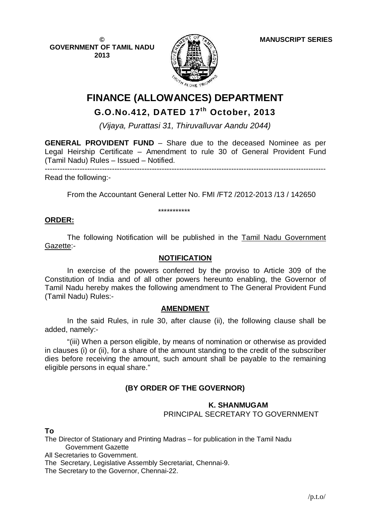**© GOVERNMENT OF TAMIL NADU 2013**



# **FINANCE (ALLOWANCES) DEPARTMENT**

# **G.O.No.412, DATED 17 th October, 2013**

*(Vijaya, Purattasi 31, Thiruvalluvar Aandu 2044)*

**GENERAL PROVIDENT FUND** – Share due to the deceased Nominee as per Legal Heirship Certificate – Amendment to rule 30 of General Provident Fund (Tamil Nadu) Rules – Issued – Notified.

-----------------------------------------------------------------------------------------------------------------

Read the following:-

From the Accountant General Letter No. FMI /FT2 /2012-2013 /13 / 142650

\*\*\*\*\*\*\*\*\*\*\*

### **ORDER:**

The following Notification will be published in the Tamil Nadu Government Gazette:-

#### **NOTIFICATION**

In exercise of the powers conferred by the proviso to Article 309 of the Constitution of India and of all other powers hereunto enabling, the Governor of Tamil Nadu hereby makes the following amendment to The General Provident Fund (Tamil Nadu) Rules:-

# **AMENDMENT**

In the said Rules, in rule 30, after clause (ii), the following clause shall be added, namely:-

"(iii) When a person eligible, by means of nomination or otherwise as provided in clauses (i) or (ii), for a share of the amount standing to the credit of the subscriber dies before receiving the amount, such amount shall be payable to the remaining eligible persons in equal share."

# **(BY ORDER OF THE GOVERNOR)**

# **K. SHANMUGAM**

PRINCIPAL SECRETARY TO GOVERNMENT

**To**

The Director of Stationary and Printing Madras – for publication in the Tamil Nadu Government Gazette

All Secretaries to Government.

The Secretary, Legislative Assembly Secretariat, Chennai-9.

The Secretary to the Governor, Chennai-22.